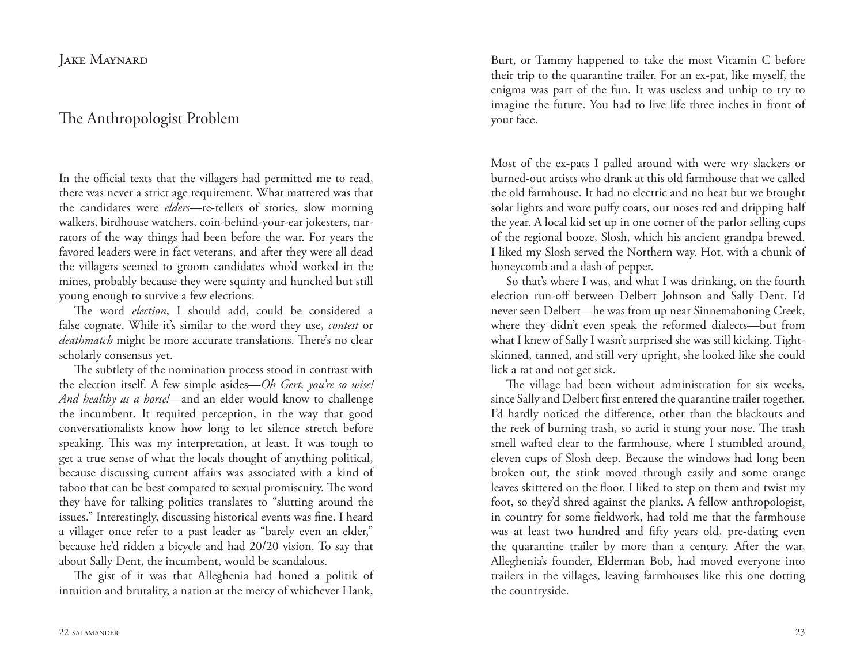JAKE MAYNARD

## The Anthropologist Problem

In the official texts that the villagers had permitted me to read, there was never a strict age requirement. What mattered was that the candidates were *elders*—re-tellers of stories, slow morning walkers, birdhouse watchers, coin-behind-your-ear jokesters, narrators of the way things had been before the war. For years the favored leaders were in fact veterans, and after they were all dead the villagers seemed to groom candidates who'd worked in the mines, probably because they were squinty and hunched but still young enough to survive a few elections.

The word *election*, I should add, could be considered a false cognate. While it's similar to the word they use, *contest* or *deathmatch* might be more accurate translations. There's no clear scholarly consensus yet.

The subtlety of the nomination process stood in contrast with the election itself. A few simple asides—*Oh Gert, you're so wise! And healthy as a horse!—*and an elder would know to challenge the incumbent. It required perception, in the way that good conversationalists know how long to let silence stretch before speaking. This was my interpretation, at least. It was tough to get a true sense of what the locals thought of anything political, because discussing current affairs was associated with a kind of taboo that can be best compared to sexual promiscuity. The word they have for talking politics translates to "slutting around the issues." Interestingly, discussing historical events was fine. I heard a villager once refer to a past leader as "barely even an elder," because he'd ridden a bicycle and had 20/20 vision. To say that about Sally Dent, the incumbent, would be scandalous.

The gist of it was that Alleghenia had honed a politik of intuition and brutality, a nation at the mercy of whichever Hank,

Burt, or Tammy happened to take the most Vitamin C before their trip to the quarantine trailer. For an ex-pat, like myself, the enigma was part of the fun. It was useless and unhip to try to imagine the future. You had to live life three inches in front of your face.

Most of the ex-pats I palled around with were wry slackers or burned-out artists who drank at this old farmhouse that we called the old farmhouse. It had no electric and no heat but we brought solar lights and wore puffy coats, our noses red and dripping half the year. A local kid set up in one corner of the parlor selling cups of the regional booze, Slosh, which his ancient grandpa brewed. I liked my Slosh served the Northern way. Hot, with a chunk of honeycomb and a dash of pepper.

So that's where I was, and what I was drinking, on the fourth election run-off between Delbert Johnson and Sally Dent. I'd never seen Delbert—he was from up near Sinnemahoning Creek, where they didn't even speak the reformed dialects—but from what I knew of Sally I wasn't surprised she was still kicking. Tightskinned, tanned, and still very upright, she looked like she could lick a rat and not get sick.

The village had been without administration for six weeks, since Sally and Delbert first entered the quarantine trailer together. I'd hardly noticed the difference, other than the blackouts and the reek of burning trash, so acrid it stung your nose. The trash smell wafted clear to the farmhouse, where I stumbled around, eleven cups of Slosh deep. Because the windows had long been broken out, the stink moved through easily and some orange leaves skittered on the floor. I liked to step on them and twist my foot, so they'd shred against the planks. A fellow anthropologist, in country for some fieldwork, had told me that the farmhouse was at least two hundred and fifty years old, pre-dating even the quarantine trailer by more than a century. After the war, Alleghenia's founder, Elderman Bob, had moved everyone into trailers in the villages, leaving farmhouses like this one dotting the countryside.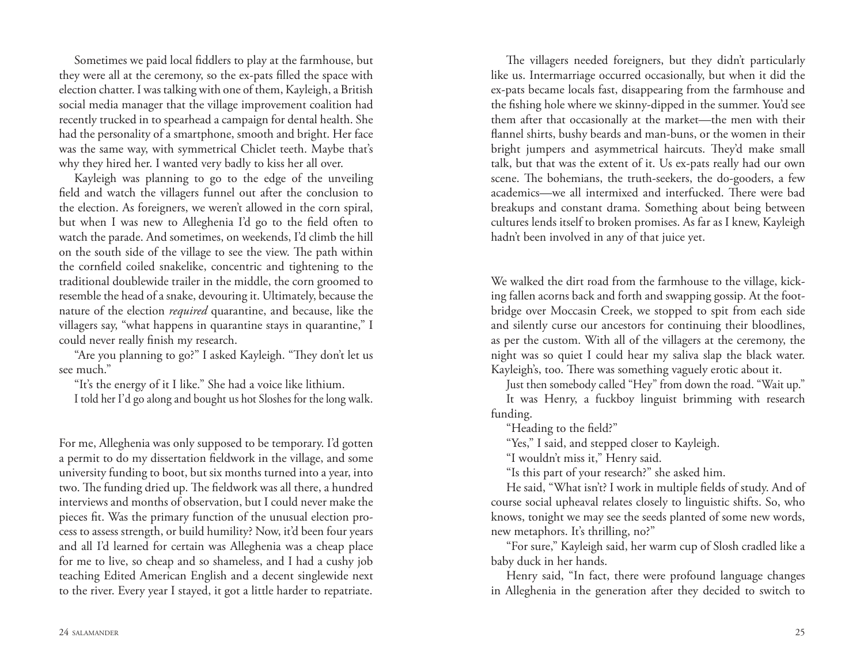Sometimes we paid local fiddlers to play at the farmhouse, but they were all at the ceremony, so the ex-pats filled the space with election chatter. I was talking with one of them, Kayleigh, a British social media manager that the village improvement coalition had recently trucked in to spearhead a campaign for dental health. She had the personality of a smartphone, smooth and bright. Her face was the same way, with symmetrical Chiclet teeth. Maybe that's why they hired her. I wanted very badly to kiss her all over.

Kayleigh was planning to go to the edge of the unveiling field and watch the villagers funnel out after the conclusion to the election. As foreigners, we weren't allowed in the corn spiral, but when I was new to Alleghenia I'd go to the field often to watch the parade. And sometimes, on weekends, I'd climb the hill on the south side of the village to see the view. The path within the cornfield coiled snakelike, concentric and tightening to the traditional doublewide trailer in the middle, the corn groomed to resemble the head of a snake, devouring it. Ultimately, because the nature of the election *required* quarantine, and because, like the villagers say, "what happens in quarantine stays in quarantine," I could never really finish my research.

"Are you planning to go?" I asked Kayleigh. "They don't let us see much."

"It's the energy of it I like." She had a voice like lithium.

I told her I'd go along and bought us hot Sloshes for the long walk.

For me, Alleghenia was only supposed to be temporary. I'd gotten a permit to do my dissertation fieldwork in the village, and some university funding to boot, but six months turned into a year, into two. The funding dried up. The fieldwork was all there, a hundred interviews and months of observation, but I could never make the pieces fit. Was the primary function of the unusual election process to assess strength, or build humility? Now, it'd been four years and all I'd learned for certain was Alleghenia was a cheap place for me to live, so cheap and so shameless, and I had a cushy job teaching Edited American English and a decent singlewide next to the river. Every year I stayed, it got a little harder to repatriate.

The villagers needed foreigners, but they didn't particularly like us. Intermarriage occurred occasionally, but when it did the ex-pats became locals fast, disappearing from the farmhouse and the fishing hole where we skinny-dipped in the summer. You'd see them after that occasionally at the market—the men with their flannel shirts, bushy beards and man-buns, or the women in their bright jumpers and asymmetrical haircuts. They'd make small talk, but that was the extent of it. Us ex-pats really had our own scene. The bohemians, the truth-seekers, the do-gooders, a few academics—we all intermixed and interfucked. There were bad breakups and constant drama. Something about being between cultures lends itself to broken promises. As far as I knew, Kayleigh hadn't been involved in any of that juice yet.

We walked the dirt road from the farmhouse to the village, kicking fallen acorns back and forth and swapping gossip. At the footbridge over Moccasin Creek, we stopped to spit from each side and silently curse our ancestors for continuing their bloodlines, as per the custom. With all of the villagers at the ceremony, the night was so quiet I could hear my saliva slap the black water. Kayleigh's, too. There was something vaguely erotic about it.

Just then somebody called "Hey" from down the road. "Wait up."

It was Henry, a fuckboy linguist brimming with research funding.

"Heading to the field?"

"Yes," I said, and stepped closer to Kayleigh.

"I wouldn't miss it," Henry said.

"Is this part of your research?" she asked him.

He said, "What isn't? I work in multiple fields of study. And of course social upheaval relates closely to linguistic shifts. So, who knows, tonight we may see the seeds planted of some new words, new metaphors. It's thrilling, no?"

"For sure," Kayleigh said, her warm cup of Slosh cradled like a baby duck in her hands.

Henry said, "In fact, there were profound language changes in Alleghenia in the generation after they decided to switch to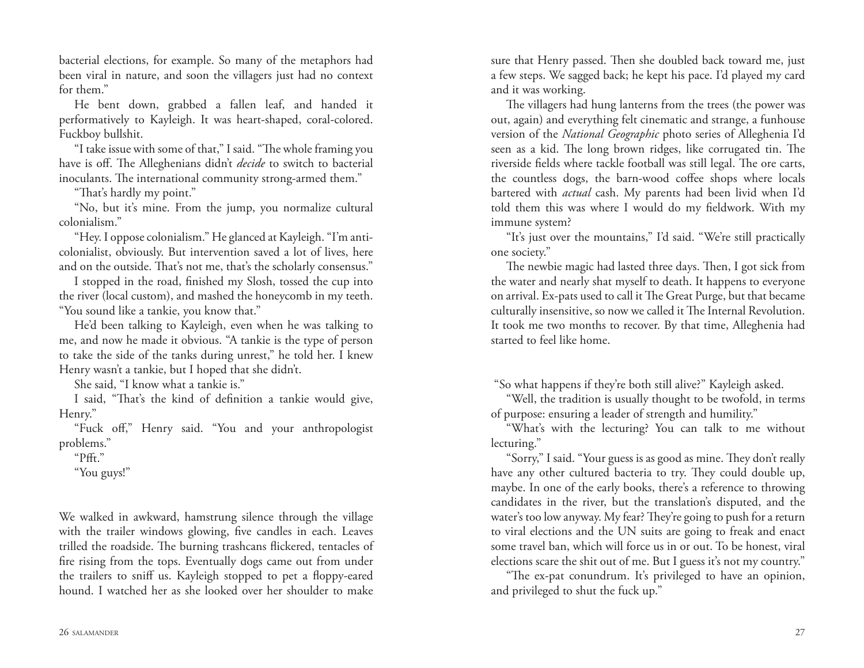bacterial elections, for example. So many of the metaphors had been viral in nature, and soon the villagers just had no context for them."

He bent down, grabbed a fallen leaf, and handed it performatively to Kayleigh. It was heart-shaped, coral-colored. Fuckboy bullshit.

"I take issue with some of that," I said. "The whole framing you have is off. The Alleghenians didn't *decide* to switch to bacterial inoculants. The international community strong-armed them."

"That's hardly my point."

"No, but it's mine. From the jump, you normalize cultural colonialism."

"Hey. I oppose colonialism." He glanced at Kayleigh. "I'm anticolonialist, obviously. But intervention saved a lot of lives, here and on the outside. That's not me, that's the scholarly consensus."

I stopped in the road, finished my Slosh, tossed the cup into the river (local custom), and mashed the honeycomb in my teeth. "You sound like a tankie, you know that."

He'd been talking to Kayleigh, even when he was talking to me, and now he made it obvious. "A tankie is the type of person to take the side of the tanks during unrest," he told her. I knew Henry wasn't a tankie, but I hoped that she didn't.

She said, "I know what a tankie is."

I said, "That's the kind of definition a tankie would give, Henry."

"Fuck off," Henry said. "You and your anthropologist problems."

"Pfft."

"You guys!"

We walked in awkward, hamstrung silence through the village with the trailer windows glowing, five candles in each. Leaves trilled the roadside. The burning trashcans flickered, tentacles of fire rising from the tops. Eventually dogs came out from under the trailers to sniff us. Kayleigh stopped to pet a floppy-eared hound. I watched her as she looked over her shoulder to make

sure that Henry passed. Then she doubled back toward me, just a few steps. We sagged back; he kept his pace. I'd played my card and it was working.

The villagers had hung lanterns from the trees (the power was out, again) and everything felt cinematic and strange, a funhouse version of the *National Geographic* photo series of Alleghenia I'd seen as a kid. The long brown ridges, like corrugated tin. The riverside fields where tackle football was still legal. The ore carts, the countless dogs, the barn-wood coffee shops where locals bartered with *actual* cash. My parents had been livid when I'd told them this was where I would do my fieldwork. With my immune system?

"It's just over the mountains," I'd said. "We're still practically one society."

The newbie magic had lasted three days. Then, I got sick from the water and nearly shat myself to death. It happens to everyone on arrival. Ex-pats used to call it The Great Purge, but that became culturally insensitive, so now we called it The Internal Revolution. It took me two months to recover. By that time, Alleghenia had started to feel like home.

"So what happens if they're both still alive?" Kayleigh asked.

"Well, the tradition is usually thought to be twofold, in terms of purpose: ensuring a leader of strength and humility."

"What's with the lecturing? You can talk to me without lecturing."

"Sorry," I said. "Your guess is as good as mine. They don't really have any other cultured bacteria to try. They could double up, maybe. In one of the early books, there's a reference to throwing candidates in the river, but the translation's disputed, and the water's too low anyway. My fear? They're going to push for a return to viral elections and the UN suits are going to freak and enact some travel ban, which will force us in or out. To be honest, viral elections scare the shit out of me. But I guess it's not my country."

"The ex-pat conundrum. It's privileged to have an opinion, and privileged to shut the fuck up."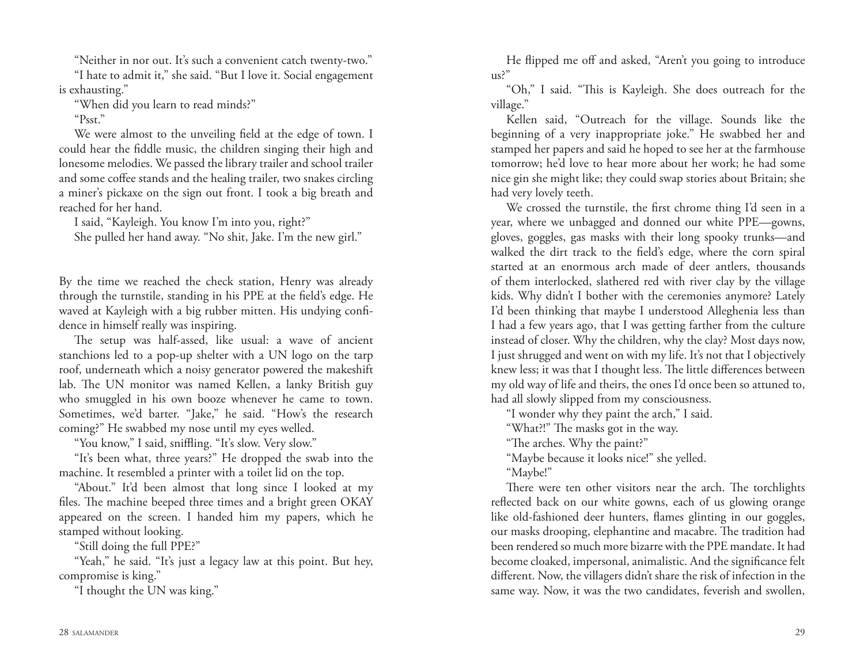"Neither in nor out. It's such a convenient catch twenty-two."

"I hate to admit it," she said. "But I love it. Social engagement is exhausting."

"When did you learn to read minds?"

"Psst."

We were almost to the unveiling field at the edge of town. I could hear the fiddle music, the children singing their high and lonesome melodies. We passed the library trailer and school trailer and some coffee stands and the healing trailer, two snakes circling a miner's pickaxe on the sign out front. I took a big breath and reached for her hand.

I said, "Kayleigh. You know I'm into you, right?"

She pulled her hand away. "No shit, Jake. I'm the new girl."

By the time we reached the check station, Henry was already through the turnstile, standing in his PPE at the field's edge. He waved at Kayleigh with a big rubber mitten. His undying confidence in himself really was inspiring.

The setup was half-assed, like usual: a wave of ancient stanchions led to a pop-up shelter with a UN logo on the tarp roof, underneath which a noisy generator powered the makeshift lab. The UN monitor was named Kellen, a lanky British guy who smuggled in his own booze whenever he came to town. Sometimes, we'd barter. "Jake," he said. "How's the research coming?" He swabbed my nose until my eyes welled.

"You know," I said, sniffling. "It's slow. Very slow."

"It's been what, three years?" He dropped the swab into the machine. It resembled a printer with a toilet lid on the top.

"About." It'd been almost that long since I looked at my files. The machine beeped three times and a bright green OKAY appeared on the screen. I handed him my papers, which he stamped without looking.

"Still doing the full PPE?"

"Yeah," he said. "It's just a legacy law at this point. But hey, compromise is king."

"I thought the UN was king."

He flipped me off and asked, "Aren't you going to introduce us?"

"Oh," I said. "This is Kayleigh. She does outreach for the village."

Kellen said, "Outreach for the village. Sounds like the beginning of a very inappropriate joke." He swabbed her and stamped her papers and said he hoped to see her at the farmhouse tomorrow; he'd love to hear more about her work; he had some nice gin she might like; they could swap stories about Britain; she had very lovely teeth.

We crossed the turnstile, the first chrome thing I'd seen in a year, where we unbagged and donned our white PPE—gowns, gloves, goggles, gas masks with their long spooky trunks—and walked the dirt track to the field's edge, where the corn spiral started at an enormous arch made of deer antlers, thousands of them interlocked, slathered red with river clay by the village kids. Why didn't I bother with the ceremonies anymore? Lately I'd been thinking that maybe I understood Alleghenia less than I had a few years ago, that I was getting farther from the culture instead of closer. Why the children, why the clay? Most days now, I just shrugged and went on with my life. It's not that I objectively knew less; it was that I thought less. The little differences between my old way of life and theirs, the ones I'd once been so attuned to, had all slowly slipped from my consciousness.

"I wonder why they paint the arch," I said.

"What?!" The masks got in the way.

"The arches. Why the paint?"

"Maybe because it looks nice!" she yelled.

"Maybe!"

There were ten other visitors near the arch. The torchlights reflected back on our white gowns, each of us glowing orange like old-fashioned deer hunters, flames glinting in our goggles, our masks drooping, elephantine and macabre. The tradition had been rendered so much more bizarre with the PPE mandate. It had become cloaked, impersonal, animalistic. And the significance felt different. Now, the villagers didn't share the risk of infection in the same way. Now, it was the two candidates, feverish and swollen,